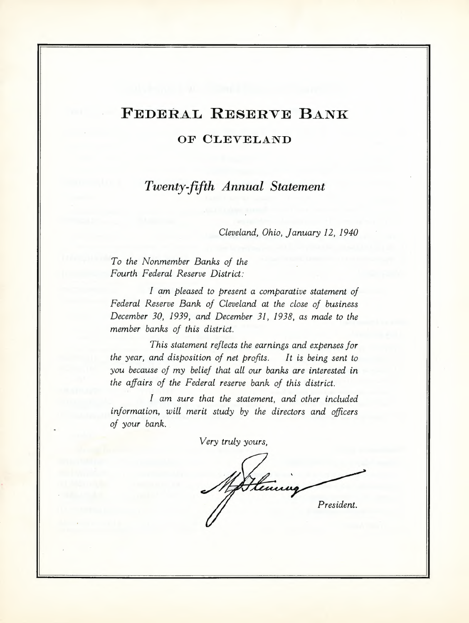# **FEDERAL RESERVE BANK**

### **OF CLEVELAND**

*Twenty-fifth Annual Statement*

*CLeveLand,Ohio, January* 12, *1940*

*To the Nonmember Banks of the Fourth FederaL Reserve District:*

*I am pleased to present a comparative statement of FederaL Reserve Bank of CLeveLand at the close of business December 30,* 1939, *and December* 31, 1938, *as made to the member banks of this district.*

*This statement reflects the earnings and expenses for the year, and disposition of net profits. It is being sent to you because of my belief that aLLour banks are interested in the affairs of the FederaL reserve bank of this district.*

*I am sure that the statement, and other included information, wiLL merit study by the directors and officers of your bank.*

*Very truly yours,*

Henry *President.*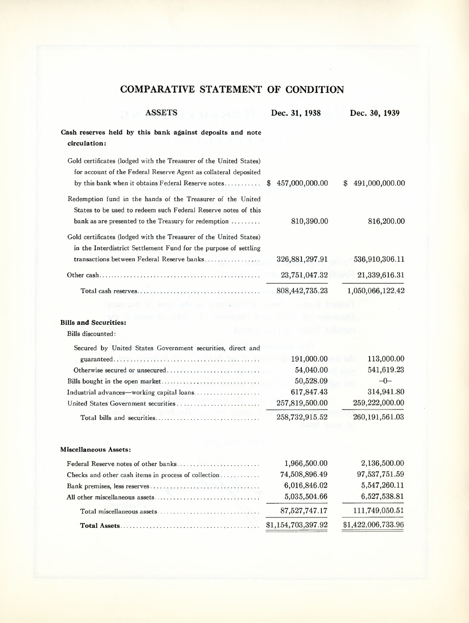## COMPARATIVE STATEMENT **OF** CONDITION

| <b>ASSETS</b>                                                                                                                                                                                | Dec. 31, 1938        | Dec. 30, 1939        |
|----------------------------------------------------------------------------------------------------------------------------------------------------------------------------------------------|----------------------|----------------------|
| Cash reserves held by this bank against deposits and note<br>circulation:                                                                                                                    |                      |                      |
| Gold certificates (lodged with the Treasurer of the United States)<br>for account of the Federal Reserve Agent as collateral deposited<br>by this bank when it obtains Federal Reserve notes | 457,000,000.00<br>\$ | 491,000,000.00<br>SS |
| Redemption fund in the hands of the Treasurer of the United<br>States to be used to redeem such Federal Reserve notes of this<br>bank as are presented to the Treasury for redemption        | 810,390.00           | 816,200.00           |
| Gold certificates (lodged with the Treasurer of the United States)<br>in the Interdistrict Settlement Fund for the purpose of settling<br>transactions between Federal Reserve banks         | 326, 881, 297. 91    | 536,910,306.11       |
|                                                                                                                                                                                              | 23,751,047.32        | 21,339,616.31        |
|                                                                                                                                                                                              | 808,442,735.23       | 1,050,066,122.42     |
|                                                                                                                                                                                              |                      |                      |
| <b>Bills and Securities:</b>                                                                                                                                                                 |                      |                      |
| Bills discounted:                                                                                                                                                                            |                      |                      |
| Secured by United States Government securities, direct and                                                                                                                                   |                      |                      |
|                                                                                                                                                                                              | 191,000.00           | 113,000.00           |
| Otherwise secured or unsecured                                                                                                                                                               | 54,040.00            | 541,619.23           |
|                                                                                                                                                                                              | 50,528.09            | $-0-$                |
| Industrial advances—working capital loans                                                                                                                                                    | 617,847.43           | 314,941.80           |
| United States Government securities                                                                                                                                                          | 257,819,500.00       | 259,222,000.00       |
|                                                                                                                                                                                              | 258,732,915.52       | 260,191,561.03       |
| Miscellaneous Assets:                                                                                                                                                                        |                      |                      |
| Federal Reserve notes of other banks                                                                                                                                                         | 1,966,500.00         | 2,136,500.00         |
| Checks and other cash items in process of collection                                                                                                                                         | 74,508,896.49        | 97,537,751.59        |
|                                                                                                                                                                                              | 6,016,846.02         | 5,547,260.11         |
|                                                                                                                                                                                              | 5,035,504.66         | 6,527,538.81         |
| Total miscellaneous assets                                                                                                                                                                   | 87,527,747.17        | 111,749,050.51       |
|                                                                                                                                                                                              | \$1,154,703,397.92   | \$1,422,006,733.96   |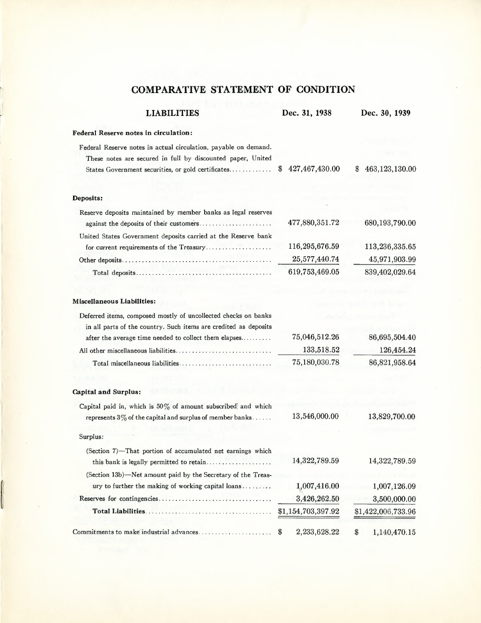### **COMPARATIVE STATEMENT OF CONDITION**

| <b>LIABILITIES</b>                                                                                                             | Dec. 31, 1938         | Dec. 30, 1939        |
|--------------------------------------------------------------------------------------------------------------------------------|-----------------------|----------------------|
| Federal Reserve notes in circulation:                                                                                          |                       |                      |
| Federal Reserve notes in actual circulation, payable on demand.<br>These notes are secured in full by discounted paper, United |                       |                      |
| States Government securities, or gold certificates                                                                             | 427,467,430.00<br>\$. | 463,123,130.00<br>\$ |
|                                                                                                                                |                       |                      |
| Deposits:                                                                                                                      |                       |                      |
| Reserve deposits maintained by member banks as legal reserves                                                                  |                       |                      |
|                                                                                                                                | 477,880,351.72        | 680,193,790.00       |
| United States Government deposits carried at the Reserve bank                                                                  |                       |                      |
| for current requirements of the Treasury                                                                                       | 116,295,676.59        | 113,236,335.65       |
|                                                                                                                                | 25,577,440.74         | 45,971,903.99        |
|                                                                                                                                | 619,753,469.05        | 839,402,029.64       |
|                                                                                                                                |                       |                      |
| Miscellaneous Liabilities:                                                                                                     |                       |                      |
| Deferred items, composed mostly of uncollected checks on banks                                                                 |                       |                      |
| in all parts of the country. Such items are credited as deposits                                                               |                       |                      |
| after the average time needed to collect them elapses                                                                          | 75,046,512.26         | 86,695,504.40        |
|                                                                                                                                | 133,518.52            | 126,454.24           |
| Total miscellaneous liabilities                                                                                                | 75,180,030.78         | 86,821,958.64        |
|                                                                                                                                |                       |                      |
| <b>Capital and Surplus:</b>                                                                                                    |                       |                      |
| Capital paid in, which is $50\%$ of amount subscribed and which                                                                |                       |                      |
| represents $3\%$ of the capital and surplus of member banks                                                                    | 13,546,000.00         | 13,829,700.00        |
| Surplus:                                                                                                                       |                       |                      |
| (Section 7)-That portion of accumulated net earnings which                                                                     | 14,322,789.59         | 14,322,789.59        |
| (Section 13b)—Net amount paid by the Secretary of the Treas-                                                                   |                       |                      |
| ury to further the making of working capital loans                                                                             | 1,007,416.00          | 1,007,126.09         |
|                                                                                                                                | 3,426,262.50          | 3,500,000.00         |
|                                                                                                                                | \$1,154,703,397.92    | \$1,422,006,733.96   |
| Commitments to make industrial advances                                                                                        | 2,233,628.22<br>\$    | \$<br>1,140,470.15   |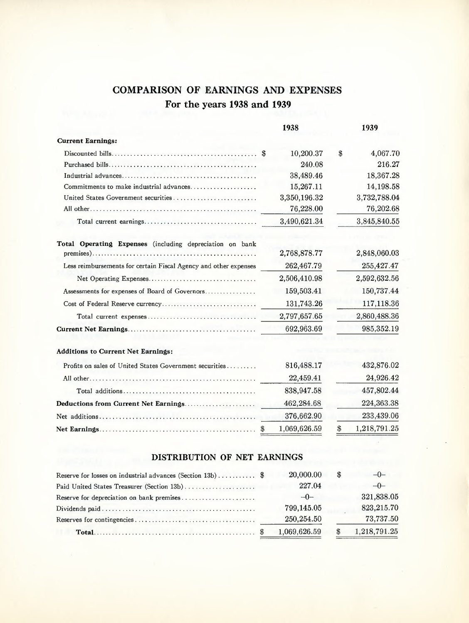### **COMPARISON OF EARNINGS AND EXPENSES For the years 1938 and 1939**

|                                                                  | 1938            | 1939                         |
|------------------------------------------------------------------|-----------------|------------------------------|
| <b>Current Earnings:</b>                                         |                 |                              |
|                                                                  | 10,200.37<br>\$ | 4,067.70<br>$\$$             |
|                                                                  | 240.08          | 216.27                       |
|                                                                  | 38,489.46       | 18,367.28                    |
| Commitments to make industrial advances                          | 15,267.11       | 14,198.58                    |
|                                                                  | 3,350,196.32    | 3,732,788.04                 |
|                                                                  | 76,228.00       | 76,202.68                    |
|                                                                  | 3,490,621.34    | 3,845,840.55                 |
| Total Operating Expenses (including depreciation on bank         |                 |                              |
|                                                                  | 2,768,878.77    | 2,848,060.03                 |
| Less reimbursements for certain Fiscal Agency and other expenses | 262,467.79      | 255,427.47                   |
|                                                                  | 2,506,410.98    | 2,592,632.56                 |
| Assessments for expenses of Board of Governors                   | 159,503.41      | 150,737.44                   |
| Cost of Federal Reserve currency                                 | 131,743.26      | 117,118.36                   |
|                                                                  | 2,797,657.65    | 2,860,488.36                 |
|                                                                  | 692,963.69      | 985,352.19                   |
| <b>Additions to Current Net Earnings:</b>                        |                 |                              |
| Profits on sales of United States Government securities          | 816,488.17      | 432,876.02                   |
|                                                                  | 22,459.41       | 24,926.42                    |
|                                                                  | 838,947.58      | 457,802.44                   |
| Deductions from Current Net Earnings                             | 462,284.68      | 224,363.38                   |
|                                                                  | 376,662.90      | 233,439.06                   |
|                                                                  | 1,069,626.59    | 1,218,791.25<br>$\mathbf{S}$ |

### **DISTRIBUTION OF NET EARNINGS**

|                                            | 20,000.00    | \$ĥ | $-0-$        |
|--------------------------------------------|--------------|-----|--------------|
| Paid United States Treasurer (Section 13b) | 227.04       |     | $-0-$        |
| Reserve for depreciation on bank premises  | $-0-$        |     | 321,838.05   |
|                                            | 799,145.05   |     | 823,215.70   |
|                                            | 250,254.50   |     | 73,737.50    |
|                                            | 1,069,626.59 |     | 1,218,791.25 |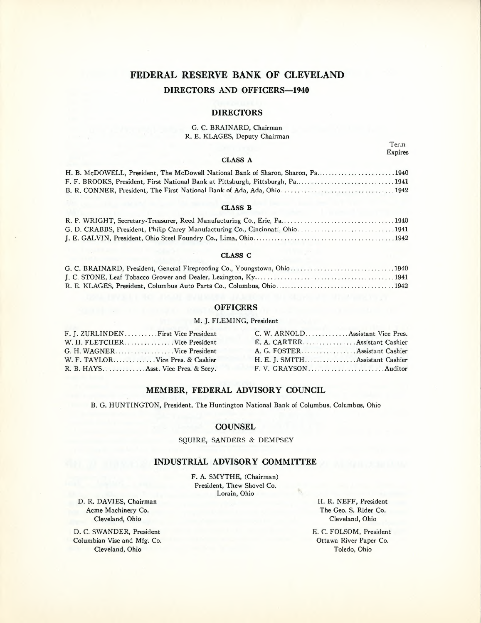### **FEDERAL RESERVE BANK OF CLEVELAND DIRECTORS AND OFFICERS-1940**

#### **DIRECTORS**

#### G. C. BRAINARD, Chairman R. E. KLAGES, Deputy Chairman

Term Expires

#### **CLASS A**

H. B. McDOWELL, President, The McDowell National Bank of Sharon, Sharon, Pa........................1940 F. F. BROOKS, President, First National Bank at Pittsburgh, Pittsburgh, Pa..............................1941 B. R. CONNER, President, The First National Bank of Ada, Ada, Ohio 1942

#### **CLASS B**

| G. D. CRABBS, President, Philip Carey Manufacturing Co., Cincinnati, Ohio1941 |  |
|-------------------------------------------------------------------------------|--|
|                                                                               |  |

#### **CLASS C**

| G. C. BRAINARD, President, General Fireproofing Co., Youngstown, Ohio1940 |  |
|---------------------------------------------------------------------------|--|
|                                                                           |  |
|                                                                           |  |

#### **OFFICERS**

#### M. J. FLEMING, President

| F. J. ZURLINDEN First Vice President | C. W. ARNOLDAssistant Vice Pres. |
|--------------------------------------|----------------------------------|
| W. H. FLETCHERVice President         | E. A. CARTER Assistant Cashier   |
| G. H. WAGNERVice President           |                                  |
| W. F. TAYLORVice Pres. & Cashier     | H. E. J. SMITHAssistant Cashier  |
| R. B. HAYSAsst. Vice Pres. & Secv.   |                                  |

#### **MEMBER, FEDERAL ADVISORY COUNCIL**

B. G. HUNTINGTON, President, The Huntington National Bank of Columbus, Columbus, Ohio

#### **COUNSEL**

#### SQUIRE, SANDERS & DEMPSEY

#### **INDUSTRIAL ADVISORY COMMITTEE**

F. A. SMYTHE, (Chairman) President, Thew Shovel Co. Lorain, Ohio

D. R. DAVIES, Chairman Acme Machinery Co. Cleveland, Ohio

D. C. SWANDER, President Columbian Vise and Mfg. Co. Cleveland, Ohio

H. R. NEFF, President The Geo. S. Rider Co. Cleveland, Ohio

E. C. FOLSOM, President Ottawa River Paper Co. Toledo, Ohio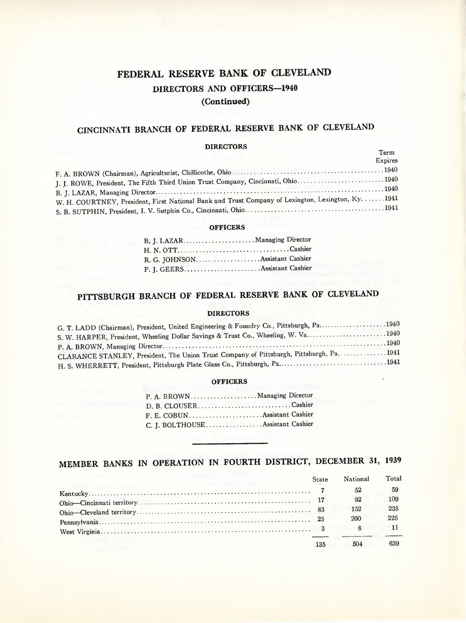### **FEDERAL RESERVE BANK OF CLEVELAND DIRECTORS AND OFFICERS-1940 (Continued)**

## **CINCINNATI BRANCH OF FEDERAL RESERVE BANK OF CLEVELAND**

#### **DIRECTORS**

| <b>DILDUI VIW</b>                                                                                  | Term    |
|----------------------------------------------------------------------------------------------------|---------|
|                                                                                                    | Expires |
|                                                                                                    |         |
| J. J. ROWE, President, The Fifth Third Union Trust Company, Cincinnati, Ohio1940                   |         |
|                                                                                                    |         |
| W. H. COURTNEY, President, First National Bank and Trust Company of Lexington, Lexington, Ky. 1941 |         |
|                                                                                                    |         |

#### **OFFICERS**

| R. G. JOHNSON.  Assistant Cashier |  |
|-----------------------------------|--|
|                                   |  |

## **PITTSBURGH BRANCH OF FEDERAL RESERVE BANK OF CLEVELAND**

#### **DIRECTORS**

| G. T. LADD (Chairman), President, United Engineering & Foundry Co., Pittsburgh, Pa. |
|-------------------------------------------------------------------------------------|
| S. W. HARPER, President, Wheeling Dollar Savings & Trust Co., Wheeling, W. Va. 1940 |
|                                                                                     |
| CLARANCE STANLEY, President, The Union Trust Company of Pittsburgh, Pittsburgh, Pa. |
|                                                                                     |

#### **OFFICERS**

| P. A. BROWN Managing Director     |  |
|-----------------------------------|--|
| D. B. CLOUSERCashier              |  |
|                                   |  |
| C. J. BOLTHOUSE Assistant Cashier |  |

## **MEMBER BANKS IN OPERATION IN FOURTH DISTRICT, DECEMBER 31, 1939**

|                                                    | State | National | Total |
|----------------------------------------------------|-------|----------|-------|
| the company's property and the company's company's |       | 52       | 59    |
|                                                    |       | 92       | 109   |
|                                                    |       | 152      | 235   |
|                                                    |       | 200      | 225   |
|                                                    |       |          |       |
|                                                    | 135   | 504      |       |